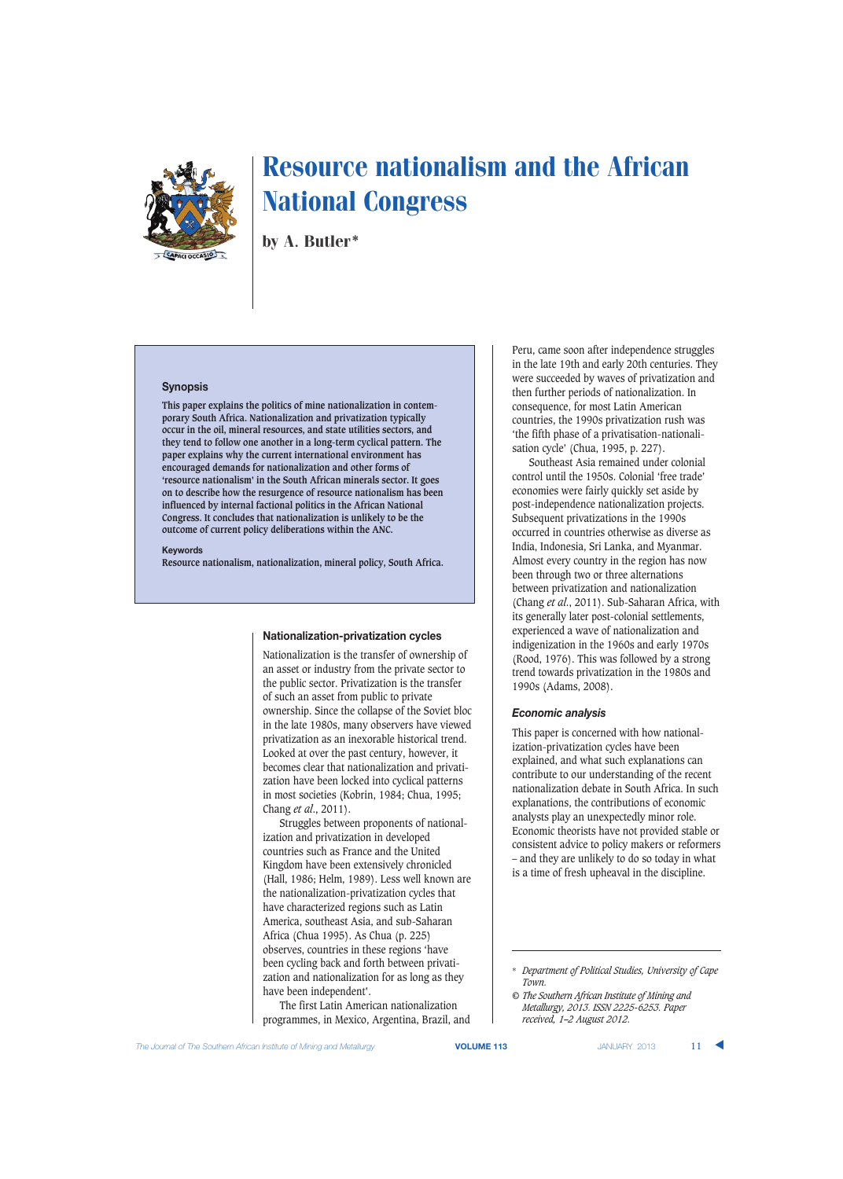

by A. Butler\*

# **Synopsis**

**This paper explains the politics of mine nationalization in contemporary South Africa. Nationalization and privatization typically occur in the oil, mineral resources, and state utilities sectors, and they tend to follow one another in a long-term cyclical pattern. The paper explains why the current international environment has encouraged demands for nationalization and other forms of 'resource nationalism' in the South African minerals sector. It goes on to describe how the resurgence of resource nationalism has been influenced by internal factional politics in the African National Congress. It concludes that nationalization is unlikely to be the outcome of current policy deliberations within the ANC.**

#### **Keywords**

**Resource nationalism, nationalization, mineral policy, South Africa.**

#### **Nationalization-privatization cycles**

Nationalization is the transfer of ownership of an asset or industry from the private sector to the public sector. Privatization is the transfer of such an asset from public to private ownership. Since the collapse of the Soviet bloc in the late 1980s, many observers have viewed privatization as an inexorable historical trend. Looked at over the past century, however, it becomes clear that nationalization and privatization have been locked into cyclical patterns in most societies (Kobrin, 1984; Chua, 1995; Chang *et al*., 2011).

Struggles between proponents of nationalization and privatization in developed countries such as France and the United Kingdom have been extensively chronicled (Hall, 1986; Helm, 1989). Less well known are the nationalization-privatization cycles that have characterized regions such as Latin America, southeast Asia, and sub-Saharan Africa (Chua 1995). As Chua (p. 225) observes, countries in these regions 'have been cycling back and forth between privatization and nationalization for as long as they have been independent'.

The first Latin American nationalization programmes, in Mexico, Argentina, Brazil, and Peru, came soon after independence struggles in the late 19th and early 20th centuries. They were succeeded by waves of privatization and then further periods of nationalization. In consequence, for most Latin American countries, the 1990s privatization rush was 'the fifth phase of a privatisation-nationalisation cycle' (Chua, 1995, p. 227).

Southeast Asia remained under colonial control until the 1950s. Colonial 'free trade' economies were fairly quickly set aside by post-independence nationalization projects. Subsequent privatizations in the 1990s occurred in countries otherwise as diverse as India, Indonesia, Sri Lanka, and Myanmar. Almost every country in the region has now been through two or three alternations between privatization and nationalization (Chang *et al*., 2011). Sub-Saharan Africa, with its generally later post-colonial settlements, experienced a wave of nationalization and indigenization in the 1960s and early 1970s (Rood, 1976). This was followed by a strong trend towards privatization in the 1980s and 1990s (Adams, 2008).

#### *Economic analysis*

This paper is concerned with how nationalization-privatization cycles have been explained, and what such explanations can contribute to our understanding of the recent nationalization debate in South Africa. In such explanations, the contributions of economic analysts play an unexpectedly minor role. Economic theorists have not provided stable or consistent advice to policy makers or reformers – and they are unlikely to do so today in what is a time of fresh upheaval in the discipline.

<sup>\*</sup> *Department of Political Studies, University of Cape Town.*

*<sup>©</sup> The Southern African Institute of Mining and Metallurgy, 2013. ISSN 2225-6253. Paper received, 1–2 August 2012.*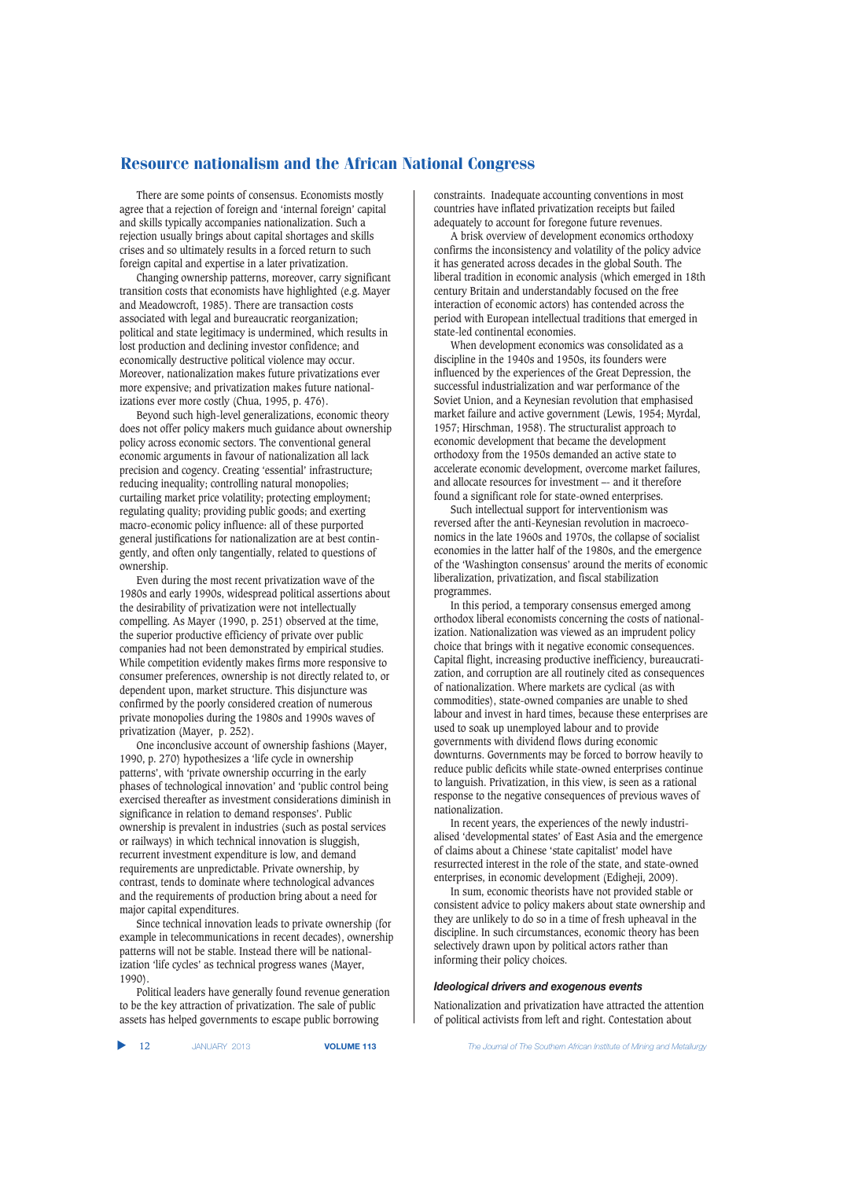There are some points of consensus. Economists mostly agree that a rejection of foreign and 'internal foreign' capital and skills typically accompanies nationalization. Such a rejection usually brings about capital shortages and skills crises and so ultimately results in a forced return to such foreign capital and expertise in a later privatization.

Changing ownership patterns, moreover, carry significant transition costs that economists have highlighted (e.g. Mayer and Meadowcroft, 1985). There are transaction costs associated with legal and bureaucratic reorganization; political and state legitimacy is undermined, which results in lost production and declining investor confidence; and economically destructive political violence may occur. Moreover, nationalization makes future privatizations ever more expensive; and privatization makes future nationalizations ever more costly (Chua, 1995, p. 476).

Beyond such high-level generalizations, economic theory does not offer policy makers much guidance about ownership policy across economic sectors. The conventional general economic arguments in favour of nationalization all lack precision and cogency. Creating 'essential' infrastructure; reducing inequality; controlling natural monopolies; curtailing market price volatility; protecting employment; regulating quality; providing public goods; and exerting macro-economic policy influence: all of these purported general justifications for nationalization are at best contingently, and often only tangentially, related to questions of ownership.

Even during the most recent privatization wave of the 1980s and early 1990s, widespread political assertions about the desirability of privatization were not intellectually compelling. As Mayer (1990, p. 251) observed at the time, the superior productive efficiency of private over public companies had not been demonstrated by empirical studies. While competition evidently makes firms more responsive to consumer preferences, ownership is not directly related to, or dependent upon, market structure. This disjuncture was confirmed by the poorly considered creation of numerous private monopolies during the 1980s and 1990s waves of privatization (Mayer, p. 252).

One inconclusive account of ownership fashions (Mayer, 1990, p. 270) hypothesizes a 'life cycle in ownership patterns', with 'private ownership occurring in the early phases of technological innovation' and 'public control being exercised thereafter as investment considerations diminish in significance in relation to demand responses'. Public ownership is prevalent in industries (such as postal services or railways) in which technical innovation is sluggish, recurrent investment expenditure is low, and demand requirements are unpredictable. Private ownership, by contrast, tends to dominate where technological advances and the requirements of production bring about a need for major capital expenditures.

Since technical innovation leads to private ownership (for example in telecommunications in recent decades), ownership patterns will not be stable. Instead there will be nationalization 'life cycles' as technical progress wanes (Mayer, 1990).

Political leaders have generally found revenue generation to be the key attraction of privatization. The sale of public assets has helped governments to escape public borrowing

constraints. Inadequate accounting conventions in most countries have inflated privatization receipts but failed adequately to account for foregone future revenues.

A brisk overview of development economics orthodoxy confirms the inconsistency and volatility of the policy advice it has generated across decades in the global South. The liberal tradition in economic analysis (which emerged in 18th century Britain and understandably focused on the free interaction of economic actors) has contended across the period with European intellectual traditions that emerged in state-led continental economies.

When development economics was consolidated as a discipline in the 1940s and 1950s, its founders were influenced by the experiences of the Great Depression, the successful industrialization and war performance of the Soviet Union, and a Keynesian revolution that emphasised market failure and active government (Lewis, 1954; Myrdal, 1957; Hirschman, 1958). The structuralist approach to economic development that became the development orthodoxy from the 1950s demanded an active state to accelerate economic development, overcome market failures, and allocate resources for investment –- and it therefore found a significant role for state-owned enterprises.

Such intellectual support for interventionism was reversed after the anti-Keynesian revolution in macroeconomics in the late 1960s and 1970s, the collapse of socialist economies in the latter half of the 1980s, and the emergence of the 'Washington consensus' around the merits of economic liberalization, privatization, and fiscal stabilization programmes.

In this period, a temporary consensus emerged among orthodox liberal economists concerning the costs of nationalization. Nationalization was viewed as an imprudent policy choice that brings with it negative economic consequences. Capital flight, increasing productive inefficiency, bureaucratization, and corruption are all routinely cited as consequences of nationalization. Where markets are cyclical (as with commodities), state-owned companies are unable to shed labour and invest in hard times, because these enterprises are used to soak up unemployed labour and to provide governments with dividend flows during economic downturns. Governments may be forced to borrow heavily to reduce public deficits while state-owned enterprises continue to languish. Privatization, in this view, is seen as a rational response to the negative consequences of previous waves of nationalization.

In recent years, the experiences of the newly industrialised 'developmental states' of East Asia and the emergence of claims about a Chinese 'state capitalist' model have resurrected interest in the role of the state, and state-owned enterprises, in economic development (Edigheji, 2009).

In sum, economic theorists have not provided stable or consistent advice to policy makers about state ownership and they are unlikely to do so in a time of fresh upheaval in the discipline. In such circumstances, economic theory has been selectively drawn upon by political actors rather than informing their policy choices.

#### *Ideological drivers and exogenous events*

Nationalization and privatization have attracted the attention of political activists from left and right. Contestation about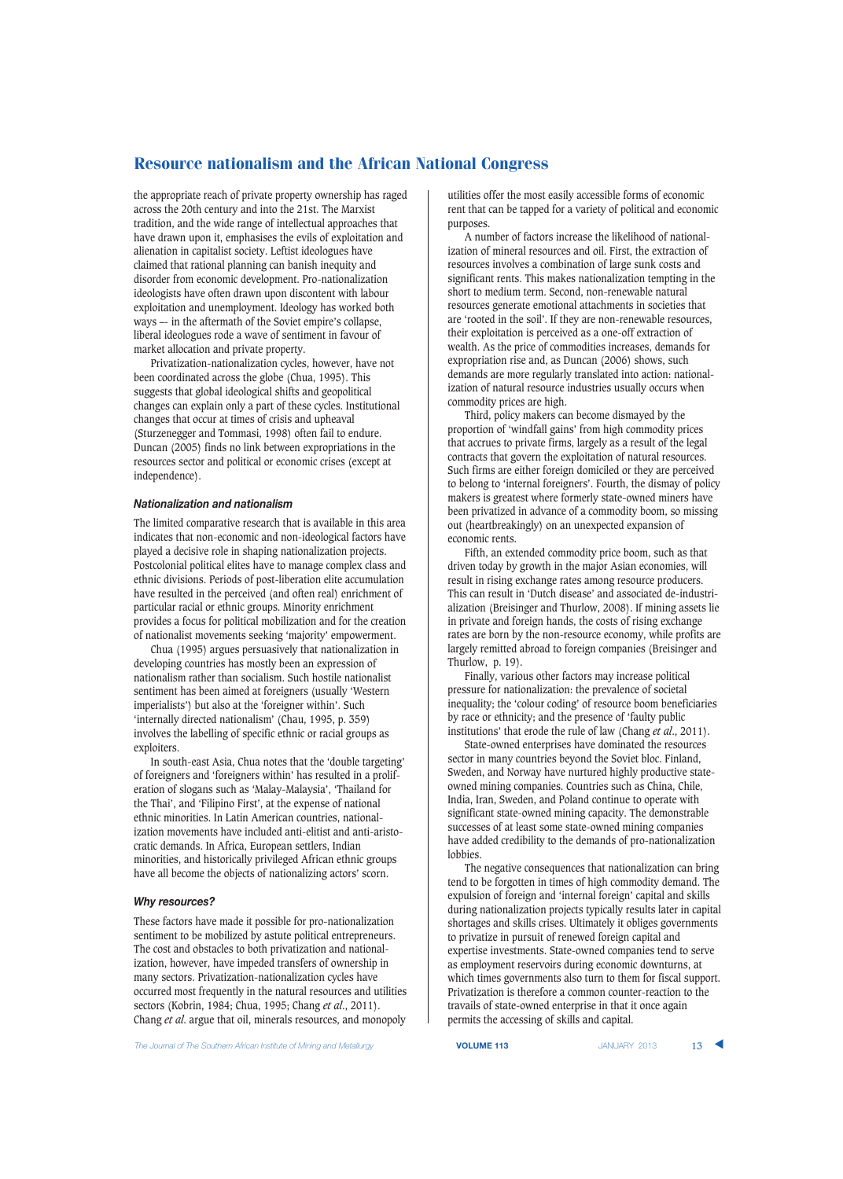the appropriate reach of private property ownership has raged across the 20th century and into the 21st. The Marxist tradition, and the wide range of intellectual approaches that have drawn upon it, emphasises the evils of exploitation and alienation in capitalist society. Leftist ideologues have claimed that rational planning can banish inequity and disorder from economic development. Pro-nationalization ideologists have often drawn upon discontent with labour exploitation and unemployment. Ideology has worked both ways –- in the aftermath of the Soviet empire's collapse, liberal ideologues rode a wave of sentiment in favour of market allocation and private property.

Privatization-nationalization cycles, however, have not been coordinated across the globe (Chua, 1995). This suggests that global ideological shifts and geopolitical changes can explain only a part of these cycles. Institutional changes that occur at times of crisis and upheaval (Sturzenegger and Tommasi, 1998) often fail to endure. Duncan (2005) finds no link between expropriations in the resources sector and political or economic crises (except at independence).

# *Nationalization and nationalism*

The limited comparative research that is available in this area indicates that non-economic and non-ideological factors have played a decisive role in shaping nationalization projects. Postcolonial political elites have to manage complex class and ethnic divisions. Periods of post-liberation elite accumulation have resulted in the perceived (and often real) enrichment of particular racial or ethnic groups. Minority enrichment provides a focus for political mobilization and for the creation of nationalist movements seeking 'majority' empowerment.

Chua (1995) argues persuasively that nationalization in developing countries has mostly been an expression of nationalism rather than socialism. Such hostile nationalist sentiment has been aimed at foreigners (usually 'Western imperialists') but also at the 'foreigner within'. Such 'internally directed nationalism' (Chau, 1995, p. 359) involves the labelling of specific ethnic or racial groups as exploiters.

In south-east Asia, Chua notes that the 'double targeting' of foreigners and 'foreigners within' has resulted in a proliferation of slogans such as 'Malay-Malaysia', 'Thailand for the Thai', and 'Filipino First', at the expense of national ethnic minorities. In Latin American countries, nationalization movements have included anti-elitist and anti-aristocratic demands. In Africa, European settlers, Indian minorities, and historically privileged African ethnic groups have all become the objects of nationalizing actors' scorn.

## *Why resources?*

These factors have made it possible for pro-nationalization sentiment to be mobilized by astute political entrepreneurs. The cost and obstacles to both privatization and nationalization, however, have impeded transfers of ownership in many sectors. Privatization-nationalization cycles have occurred most frequently in the natural resources and utilities sectors (Kobrin, 1984; Chua, 1995; Chang *et al*., 2011). Chang *et al*. argue that oil, minerals resources, and monopoly

utilities offer the most easily accessible forms of economic rent that can be tapped for a variety of political and economic purposes.

A number of factors increase the likelihood of nationalization of mineral resources and oil. First, the extraction of resources involves a combination of large sunk costs and significant rents. This makes nationalization tempting in the short to medium term. Second, non-renewable natural resources generate emotional attachments in societies that are 'rooted in the soil'. If they are non-renewable resources, their exploitation is perceived as a one-off extraction of wealth. As the price of commodities increases, demands for expropriation rise and, as Duncan (2006) shows, such demands are more regularly translated into action: nationalization of natural resource industries usually occurs when commodity prices are high.

Third, policy makers can become dismayed by the proportion of 'windfall gains' from high commodity prices that accrues to private firms, largely as a result of the legal contracts that govern the exploitation of natural resources. Such firms are either foreign domiciled or they are perceived to belong to 'internal foreigners'. Fourth, the dismay of policy makers is greatest where formerly state-owned miners have been privatized in advance of a commodity boom, so missing out (heartbreakingly) on an unexpected expansion of economic rents.

Fifth, an extended commodity price boom, such as that driven today by growth in the major Asian economies, will result in rising exchange rates among resource producers. This can result in 'Dutch disease' and associated de-industrialization (Breisinger and Thurlow, 2008). If mining assets lie in private and foreign hands, the costs of rising exchange rates are born by the non-resource economy, while profits are largely remitted abroad to foreign companies (Breisinger and Thurlow, p. 19).

Finally, various other factors may increase political pressure for nationalization: the prevalence of societal inequality; the 'colour coding' of resource boom beneficiaries by race or ethnicity; and the presence of 'faulty public institutions' that erode the rule of law (Chang *et al*., 2011).

State-owned enterprises have dominated the resources sector in many countries beyond the Soviet bloc. Finland, Sweden, and Norway have nurtured highly productive stateowned mining companies. Countries such as China, Chile, India, Iran, Sweden, and Poland continue to operate with significant state-owned mining capacity. The demonstrable successes of at least some state-owned mining companies have added credibility to the demands of pro-nationalization lobbies.

The negative consequences that nationalization can bring tend to be forgotten in times of high commodity demand. The expulsion of foreign and 'internal foreign' capital and skills during nationalization projects typically results later in capital shortages and skills crises. Ultimately it obliges governments to privatize in pursuit of renewed foreign capital and expertise investments. State-owned companies tend to serve as employment reservoirs during economic downturns, at which times governments also turn to them for fiscal support. Privatization is therefore a common counter-reaction to the travails of state-owned enterprise in that it once again permits the accessing of skills and capital.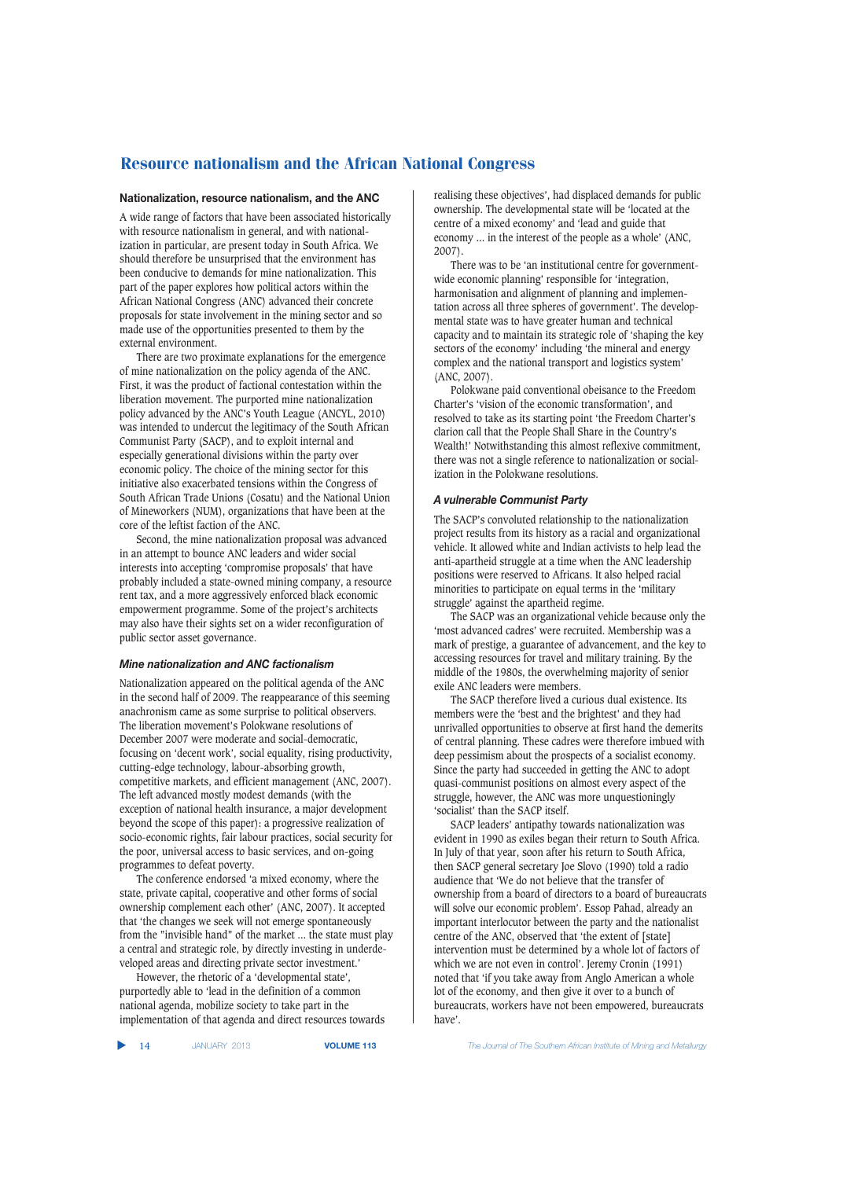## **Nationalization, resource nationalism, and the ANC**

A wide range of factors that have been associated historically with resource nationalism in general, and with nationalization in particular, are present today in South Africa. We should therefore be unsurprised that the environment has been conducive to demands for mine nationalization. This part of the paper explores how political actors within the African National Congress (ANC) advanced their concrete proposals for state involvement in the mining sector and so made use of the opportunities presented to them by the external environment.

There are two proximate explanations for the emergence of mine nationalization on the policy agenda of the ANC. First, it was the product of factional contestation within the liberation movement. The purported mine nationalization policy advanced by the ANC's Youth League (ANCYL, 2010) was intended to undercut the legitimacy of the South African Communist Party (SACP), and to exploit internal and especially generational divisions within the party over economic policy. The choice of the mining sector for this initiative also exacerbated tensions within the Congress of South African Trade Unions (Cosatu) and the National Union of Mineworkers (NUM), organizations that have been at the core of the leftist faction of the ANC.

Second, the mine nationalization proposal was advanced in an attempt to bounce ANC leaders and wider social interests into accepting 'compromise proposals' that have probably included a state-owned mining company, a resource rent tax, and a more aggressively enforced black economic empowerment programme. Some of the project's architects may also have their sights set on a wider reconfiguration of public sector asset governance.

## *Mine nationalization and ANC factionalism*

Nationalization appeared on the political agenda of the ANC in the second half of 2009. The reappearance of this seeming anachronism came as some surprise to political observers. The liberation movement's Polokwane resolutions of December 2007 were moderate and social-democratic, focusing on 'decent work', social equality, rising productivity, cutting-edge technology, labour-absorbing growth, competitive markets, and efficient management (ANC, 2007). The left advanced mostly modest demands (with the exception of national health insurance, a major development beyond the scope of this paper): a progressive realization of socio-economic rights, fair labour practices, social security for the poor, universal access to basic services, and on-going programmes to defeat poverty.

The conference endorsed 'a mixed economy, where the state, private capital, cooperative and other forms of social ownership complement each other' (ANC, 2007). It accepted that 'the changes we seek will not emerge spontaneously from the "invisible hand" of the market ... the state must play a central and strategic role, by directly investing in underdeveloped areas and directing private sector investment.'

However, the rhetoric of a 'developmental state', purportedly able to 'lead in the definition of a common national agenda, mobilize society to take part in the implementation of that agenda and direct resources towards realising these objectives', had displaced demands for public ownership. The developmental state will be 'located at the centre of a mixed economy' and 'lead and guide that economy ... in the interest of the people as a whole' (ANC, 2007).

There was to be 'an institutional centre for governmentwide economic planning' responsible for 'integration, harmonisation and alignment of planning and implementation across all three spheres of government'. The developmental state was to have greater human and technical capacity and to maintain its strategic role of 'shaping the key sectors of the economy' including 'the mineral and energy complex and the national transport and logistics system' (ANC, 2007).

Polokwane paid conventional obeisance to the Freedom Charter's 'vision of the economic transformation', and resolved to take as its starting point 'the Freedom Charter's clarion call that the People Shall Share in the Country's Wealth!' Notwithstanding this almost reflexive commitment, there was not a single reference to nationalization or socialization in the Polokwane resolutions.

# *A vulnerable Communist Party*

The SACP's convoluted relationship to the nationalization project results from its history as a racial and organizational vehicle. It allowed white and Indian activists to help lead the anti-apartheid struggle at a time when the ANC leadership positions were reserved to Africans. It also helped racial minorities to participate on equal terms in the 'military struggle' against the apartheid regime.

The SACP was an organizational vehicle because only the 'most advanced cadres' were recruited. Membership was a mark of prestige, a guarantee of advancement, and the key to accessing resources for travel and military training. By the middle of the 1980s, the overwhelming majority of senior exile ANC leaders were members.

The SACP therefore lived a curious dual existence. Its members were the 'best and the brightest' and they had unrivalled opportunities to observe at first hand the demerits of central planning. These cadres were therefore imbued with deep pessimism about the prospects of a socialist economy. Since the party had succeeded in getting the ANC to adopt quasi-communist positions on almost every aspect of the struggle, however, the ANC was more unquestioningly 'socialist' than the SACP itself.

SACP leaders' antipathy towards nationalization was evident in 1990 as exiles began their return to South Africa. In July of that year, soon after his return to South Africa, then SACP general secretary Joe Slovo (1990) told a radio audience that 'We do not believe that the transfer of ownership from a board of directors to a board of bureaucrats will solve our economic problem'. Essop Pahad, already an important interlocutor between the party and the nationalist centre of the ANC, observed that 'the extent of [state] intervention must be determined by a whole lot of factors of which we are not even in control'. Jeremy Cronin (1991) noted that 'if you take away from Anglo American a whole lot of the economy, and then give it over to a bunch of bureaucrats, workers have not been empowered, bureaucrats have'.

▲

14 JANUARY 2013 **VOLUME 113** *The Journal of The Southern African Institute of Mining and Metallurgy*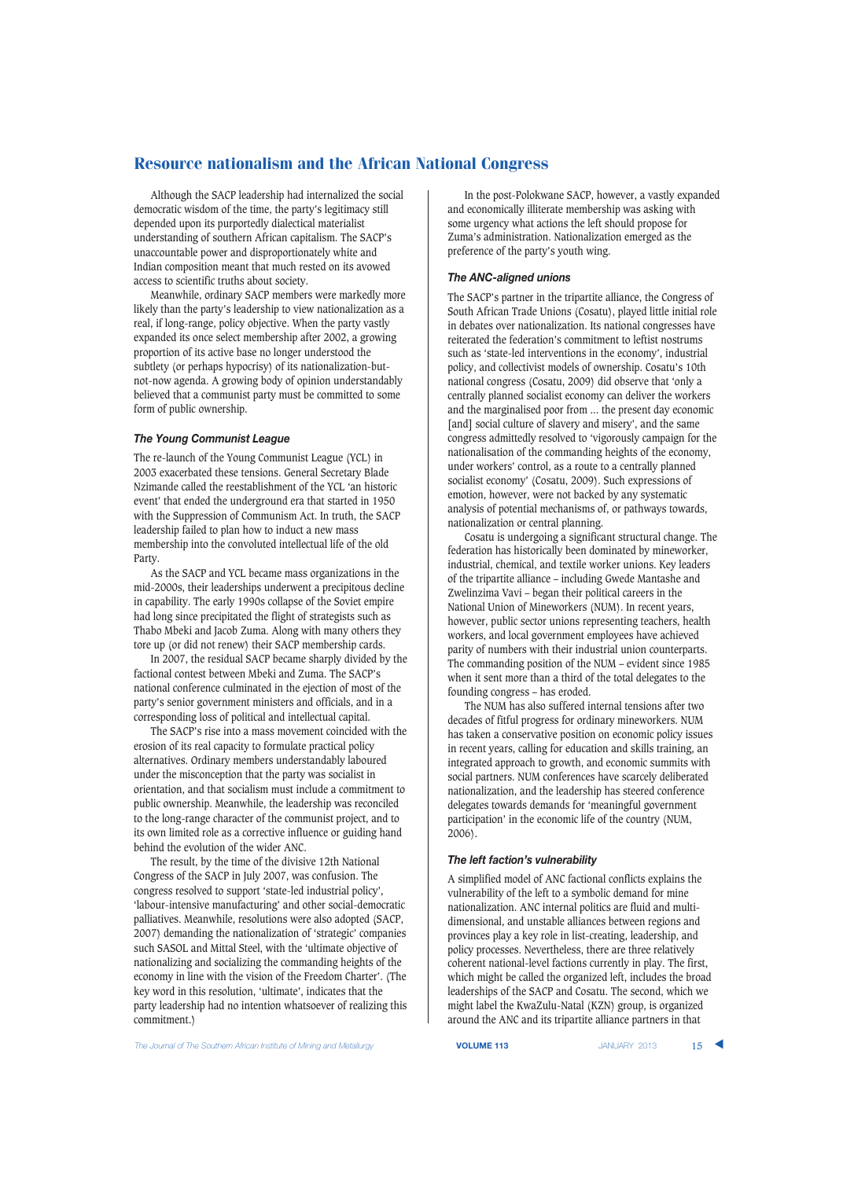Although the SACP leadership had internalized the social democratic wisdom of the time, the party's legitimacy still depended upon its purportedly dialectical materialist understanding of southern African capitalism. The SACP's unaccountable power and disproportionately white and Indian composition meant that much rested on its avowed access to scientific truths about society.

Meanwhile, ordinary SACP members were markedly more likely than the party's leadership to view nationalization as a real, if long-range, policy objective. When the party vastly expanded its once select membership after 2002, a growing proportion of its active base no longer understood the subtlety (or perhaps hypocrisy) of its nationalization-butnot-now agenda. A growing body of opinion understandably believed that a communist party must be committed to some form of public ownership.

## *The Young Communist League*

The re-launch of the Young Communist League (YCL) in 2003 exacerbated these tensions. General Secretary Blade Nzimande called the reestablishment of the YCL 'an historic event' that ended the underground era that started in 1950 with the Suppression of Communism Act. In truth, the SACP leadership failed to plan how to induct a new mass membership into the convoluted intellectual life of the old Party.

As the SACP and YCL became mass organizations in the mid-2000s, their leaderships underwent a precipitous decline in capability. The early 1990s collapse of the Soviet empire had long since precipitated the flight of strategists such as Thabo Mbeki and Jacob Zuma. Along with many others they tore up (or did not renew) their SACP membership cards.

In 2007, the residual SACP became sharply divided by the factional contest between Mbeki and Zuma. The SACP's national conference culminated in the ejection of most of the party's senior government ministers and officials, and in a corresponding loss of political and intellectual capital.

The SACP's rise into a mass movement coincided with the erosion of its real capacity to formulate practical policy alternatives. Ordinary members understandably laboured under the misconception that the party was socialist in orientation, and that socialism must include a commitment to public ownership. Meanwhile, the leadership was reconciled to the long-range character of the communist project, and to its own limited role as a corrective influence or guiding hand behind the evolution of the wider ANC.

The result, by the time of the divisive 12th National Congress of the SACP in July 2007, was confusion. The congress resolved to support 'state-led industrial policy', 'labour-intensive manufacturing' and other social-democratic palliatives. Meanwhile, resolutions were also adopted (SACP, 2007) demanding the nationalization of 'strategic' companies such SASOL and Mittal Steel, with the 'ultimate objective of nationalizing and socializing the commanding heights of the economy in line with the vision of the Freedom Charter'. (The key word in this resolution, 'ultimate', indicates that the party leadership had no intention whatsoever of realizing this commitment.)

In the post-Polokwane SACP, however, a vastly expanded and economically illiterate membership was asking with some urgency what actions the left should propose for Zuma's administration. Nationalization emerged as the preference of the party's youth wing.

## *The ANC-aligned unions*

The SACP's partner in the tripartite alliance, the Congress of South African Trade Unions (Cosatu), played little initial role in debates over nationalization. Its national congresses have reiterated the federation's commitment to leftist nostrums such as 'state-led interventions in the economy', industrial policy, and collectivist models of ownership. Cosatu's 10th national congress (Cosatu, 2009) did observe that 'only a centrally planned socialist economy can deliver the workers and the marginalised poor from ... the present day economic [and] social culture of slavery and misery', and the same congress admittedly resolved to 'vigorously campaign for the nationalisation of the commanding heights of the economy, under workers' control, as a route to a centrally planned socialist economy' (Cosatu, 2009). Such expressions of emotion, however, were not backed by any systematic analysis of potential mechanisms of, or pathways towards, nationalization or central planning.

Cosatu is undergoing a significant structural change. The federation has historically been dominated by mineworker, industrial, chemical, and textile worker unions. Key leaders of the tripartite alliance – including Gwede Mantashe and Zwelinzima Vavi – began their political careers in the National Union of Mineworkers (NUM). In recent years, however, public sector unions representing teachers, health workers, and local government employees have achieved parity of numbers with their industrial union counterparts. The commanding position of the NUM – evident since 1985 when it sent more than a third of the total delegates to the founding congress – has eroded.

The NUM has also suffered internal tensions after two decades of fitful progress for ordinary mineworkers. NUM has taken a conservative position on economic policy issues in recent years, calling for education and skills training, an integrated approach to growth, and economic summits with social partners. NUM conferences have scarcely deliberated nationalization, and the leadership has steered conference delegates towards demands for 'meaningful government participation' in the economic life of the country (NUM, 2006).

#### *The left faction's vulnerability*

A simplified model of ANC factional conflicts explains the vulnerability of the left to a symbolic demand for mine nationalization. ANC internal politics are fluid and multidimensional, and unstable alliances between regions and provinces play a key role in list-creating, leadership, and policy processes. Nevertheless, there are three relatively coherent national-level factions currently in play. The first, which might be called the organized left, includes the broad leaderships of the SACP and Cosatu. The second, which we might label the KwaZulu-Natal (KZN) group, is organized around the ANC and its tripartite alliance partners in that

**The Journal of The Southern African Institute of Mining and Metallurgy <b>VOLUME 113 VOLUME 113** JANUARY 2013 15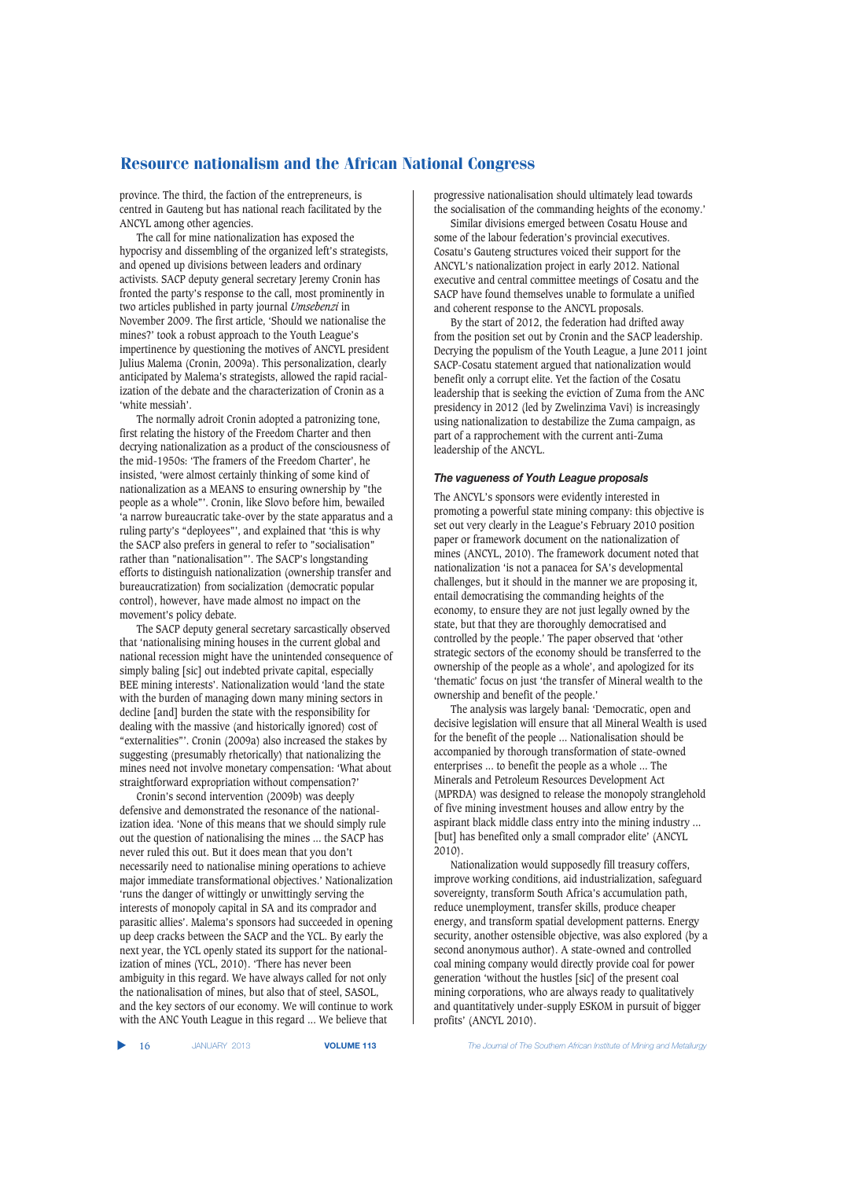province. The third, the faction of the entrepreneurs, is centred in Gauteng but has national reach facilitated by the ANCYL among other agencies.

The call for mine nationalization has exposed the hypocrisy and dissembling of the organized left's strategists, and opened up divisions between leaders and ordinary activists. SACP deputy general secretary Jeremy Cronin has fronted the party's response to the call, most prominently in two articles published in party journal *Umsebenzi* in November 2009. The first article, 'Should we nationalise the mines?' took a robust approach to the Youth League's impertinence by questioning the motives of ANCYL president Julius Malema (Cronin, 2009a). This personalization, clearly anticipated by Malema's strategists, allowed the rapid racialization of the debate and the characterization of Cronin as a 'white messiah'.

The normally adroit Cronin adopted a patronizing tone, first relating the history of the Freedom Charter and then decrying nationalization as a product of the consciousness of the mid-1950s: 'The framers of the Freedom Charter', he insisted, 'were almost certainly thinking of some kind of nationalization as a MEANS to ensuring ownership by "the people as a whole"'. Cronin, like Slovo before him, bewailed 'a narrow bureaucratic take-over by the state apparatus and a ruling party's "deployees"', and explained that 'this is why the SACP also prefers in general to refer to "socialisation" rather than "nationalisation"'. The SACP's longstanding efforts to distinguish nationalization (ownership transfer and bureaucratization) from socialization (democratic popular control), however, have made almost no impact on the movement's policy debate.

The SACP deputy general secretary sarcastically observed that 'nationalising mining houses in the current global and national recession might have the unintended consequence of simply baling [sic] out indebted private capital, especially BEE mining interests'. Nationalization would 'land the state with the burden of managing down many mining sectors in decline [and] burden the state with the responsibility for dealing with the massive (and historically ignored) cost of "externalities"'. Cronin (2009a) also increased the stakes by suggesting (presumably rhetorically) that nationalizing the mines need not involve monetary compensation: 'What about straightforward expropriation without compensation?'

Cronin's second intervention (2009b) was deeply defensive and demonstrated the resonance of the nationalization idea. 'None of this means that we should simply rule out the question of nationalising the mines ... the SACP has never ruled this out. But it does mean that you don't necessarily need to nationalise mining operations to achieve major immediate transformational objectives.' Nationalization 'runs the danger of wittingly or unwittingly serving the interests of monopoly capital in SA and its comprador and parasitic allies'. Malema's sponsors had succeeded in opening up deep cracks between the SACP and the YCL. By early the next year, the YCL openly stated its support for the nationalization of mines (YCL, 2010). 'There has never been ambiguity in this regard. We have always called for not only the nationalisation of mines, but also that of steel, SASOL, and the key sectors of our economy. We will continue to work with the ANC Youth League in this regard ... We believe that

progressive nationalisation should ultimately lead towards the socialisation of the commanding heights of the economy.'

Similar divisions emerged between Cosatu House and some of the labour federation's provincial executives. Cosatu's Gauteng structures voiced their support for the ANCYL's nationalization project in early 2012. National executive and central committee meetings of Cosatu and the SACP have found themselves unable to formulate a unified and coherent response to the ANCYL proposals.

By the start of 2012, the federation had drifted away from the position set out by Cronin and the SACP leadership. Decrying the populism of the Youth League, a June 2011 joint SACP-Cosatu statement argued that nationalization would benefit only a corrupt elite. Yet the faction of the Cosatu leadership that is seeking the eviction of Zuma from the ANC presidency in 2012 (led by Zwelinzima Vavi) is increasingly using nationalization to destabilize the Zuma campaign, as part of a rapprochement with the current anti-Zuma leadership of the ANCYL.

#### *The vagueness of Youth League proposals*

The ANCYL's sponsors were evidently interested in promoting a powerful state mining company: this objective is set out very clearly in the League's February 2010 position paper or framework document on the nationalization of mines (ANCYL, 2010). The framework document noted that nationalization 'is not a panacea for SA's developmental challenges, but it should in the manner we are proposing it, entail democratising the commanding heights of the economy, to ensure they are not just legally owned by the state, but that they are thoroughly democratised and controlled by the people.' The paper observed that 'other strategic sectors of the economy should be transferred to the ownership of the people as a whole', and apologized for its 'thematic' focus on just 'the transfer of Mineral wealth to the ownership and benefit of the people.'

The analysis was largely banal: 'Democratic, open and decisive legislation will ensure that all Mineral Wealth is used for the benefit of the people ... Nationalisation should be accompanied by thorough transformation of state-owned enterprises ... to benefit the people as a whole ... The Minerals and Petroleum Resources Development Act (MPRDA) was designed to release the monopoly stranglehold of five mining investment houses and allow entry by the aspirant black middle class entry into the mining industry ... [but] has benefited only a small comprador elite' (ANCYL) 2010).

Nationalization would supposedly fill treasury coffers, improve working conditions, aid industrialization, safeguard sovereignty, transform South Africa's accumulation path, reduce unemployment, transfer skills, produce cheaper energy, and transform spatial development patterns. Energy security, another ostensible objective, was also explored (by a second anonymous author). A state-owned and controlled coal mining company would directly provide coal for power generation 'without the hustles [sic] of the present coal mining corporations, who are always ready to qualitatively and quantitatively under-supply ESKOM in pursuit of bigger profits' (ANCYL 2010).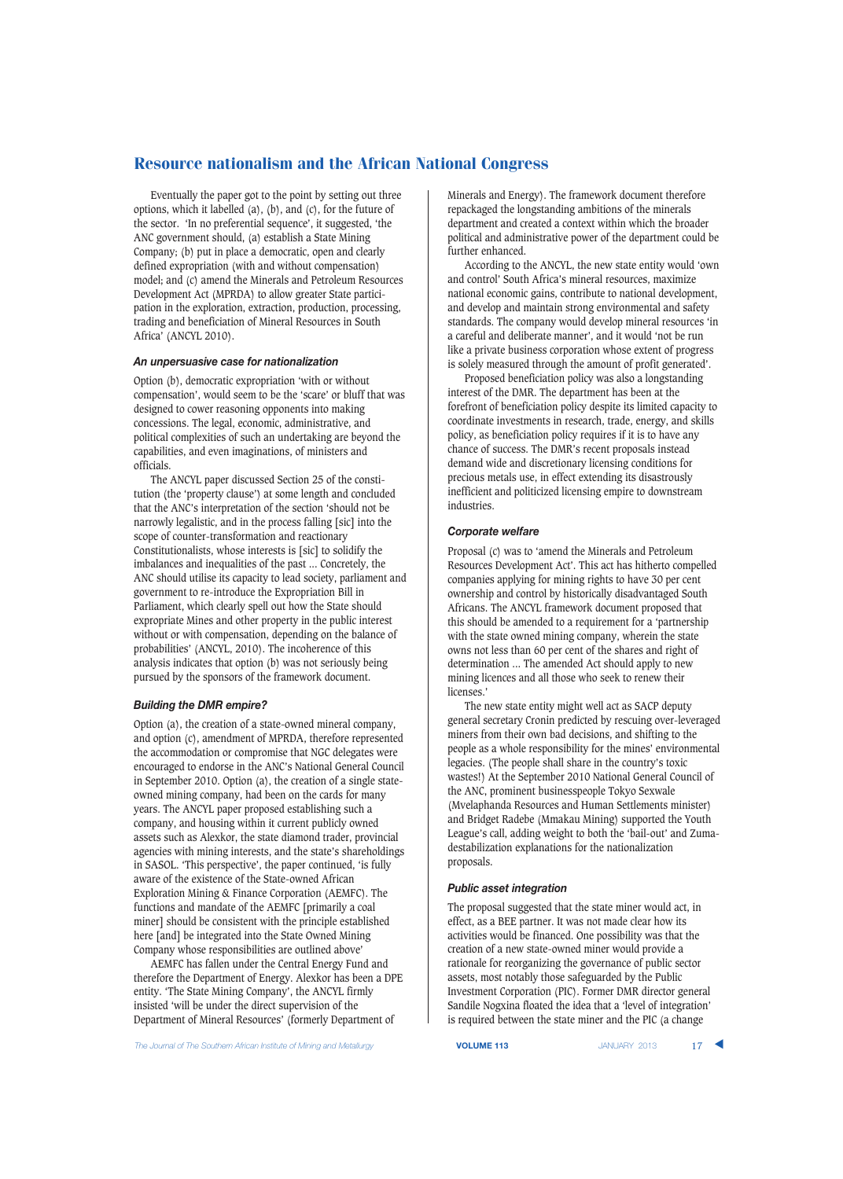Eventually the paper got to the point by setting out three options, which it labelled (a), (b), and (c), for the future of the sector. 'In no preferential sequence', it suggested, 'the ANC government should, (a) establish a State Mining Company; (b) put in place a democratic, open and clearly defined expropriation (with and without compensation) model; and (c) amend the Minerals and Petroleum Resources Development Act (MPRDA) to allow greater State participation in the exploration, extraction, production, processing, trading and beneficiation of Mineral Resources in South Africa' (ANCYL 2010).

## *An unpersuasive case for nationalization*

Option (b), democratic expropriation 'with or without compensation', would seem to be the 'scare' or bluff that was designed to cower reasoning opponents into making concessions. The legal, economic, administrative, and political complexities of such an undertaking are beyond the capabilities, and even imaginations, of ministers and officials.

The ANCYL paper discussed Section 25 of the constitution (the 'property clause') at some length and concluded that the ANC's interpretation of the section 'should not be narrowly legalistic, and in the process falling [sic] into the scope of counter-transformation and reactionary Constitutionalists, whose interests is [sic] to solidify the imbalances and inequalities of the past ... Concretely, the ANC should utilise its capacity to lead society, parliament and government to re-introduce the Expropriation Bill in Parliament, which clearly spell out how the State should expropriate Mines and other property in the public interest without or with compensation, depending on the balance of probabilities' (ANCYL, 2010). The incoherence of this analysis indicates that option (b) was not seriously being pursued by the sponsors of the framework document.

# *Building the DMR empire?*

Option (a), the creation of a state-owned mineral company, and option (c), amendment of MPRDA, therefore represented the accommodation or compromise that NGC delegates were encouraged to endorse in the ANC's National General Council in September 2010. Option (a), the creation of a single stateowned mining company, had been on the cards for many years. The ANCYL paper proposed establishing such a company, and housing within it current publicly owned assets such as Alexkor, the state diamond trader, provincial agencies with mining interests, and the state's shareholdings in SASOL. 'This perspective', the paper continued, 'is fully aware of the existence of the State-owned African Exploration Mining & Finance Corporation (AEMFC). The functions and mandate of the AEMFC [primarily a coal miner] should be consistent with the principle established here [and] be integrated into the State Owned Mining Company whose responsibilities are outlined above'

AEMFC has fallen under the Central Energy Fund and therefore the Department of Energy. Alexkor has been a DPE entity. 'The State Mining Company', the ANCYL firmly insisted 'will be under the direct supervision of the Department of Mineral Resources' (formerly Department of

**The Journal of The Southern African Institute of Mining and Metallurgy <b>VOLUME 113 VOLUME 113** JANUARY 2013 17

Minerals and Energy). The framework document therefore repackaged the longstanding ambitions of the minerals department and created a context within which the broader political and administrative power of the department could be further enhanced.

According to the ANCYL, the new state entity would 'own and control' South Africa's mineral resources, maximize national economic gains, contribute to national development, and develop and maintain strong environmental and safety standards. The company would develop mineral resources 'in a careful and deliberate manner', and it would 'not be run like a private business corporation whose extent of progress is solely measured through the amount of profit generated'.

Proposed beneficiation policy was also a longstanding interest of the DMR. The department has been at the forefront of beneficiation policy despite its limited capacity to coordinate investments in research, trade, energy, and skills policy, as beneficiation policy requires if it is to have any chance of success. The DMR's recent proposals instead demand wide and discretionary licensing conditions for precious metals use, in effect extending its disastrously inefficient and politicized licensing empire to downstream industries.

#### *Corporate welfare*

Proposal (c) was to 'amend the Minerals and Petroleum Resources Development Act'. This act has hitherto compelled companies applying for mining rights to have 30 per cent ownership and control by historically disadvantaged South Africans. The ANCYL framework document proposed that this should be amended to a requirement for a 'partnership with the state owned mining company, wherein the state owns not less than 60 per cent of the shares and right of determination ... The amended Act should apply to new mining licences and all those who seek to renew their licenses.'

The new state entity might well act as SACP deputy general secretary Cronin predicted by rescuing over-leveraged miners from their own bad decisions, and shifting to the people as a whole responsibility for the mines' environmental legacies. (The people shall share in the country's toxic wastes!) At the September 2010 National General Council of the ANC, prominent businesspeople Tokyo Sexwale (Mvelaphanda Resources and Human Settlements minister) and Bridget Radebe (Mmakau Mining) supported the Youth League's call, adding weight to both the 'bail-out' and Zumadestabilization explanations for the nationalization proposals.

#### *Public asset integration*

The proposal suggested that the state miner would act, in effect, as a BEE partner. It was not made clear how its activities would be financed. One possibility was that the creation of a new state-owned miner would provide a rationale for reorganizing the governance of public sector assets, most notably those safeguarded by the Public Investment Corporation (PIC). Former DMR director general Sandile Nogxina floated the idea that a 'level of integration' is required between the state miner and the PIC (a change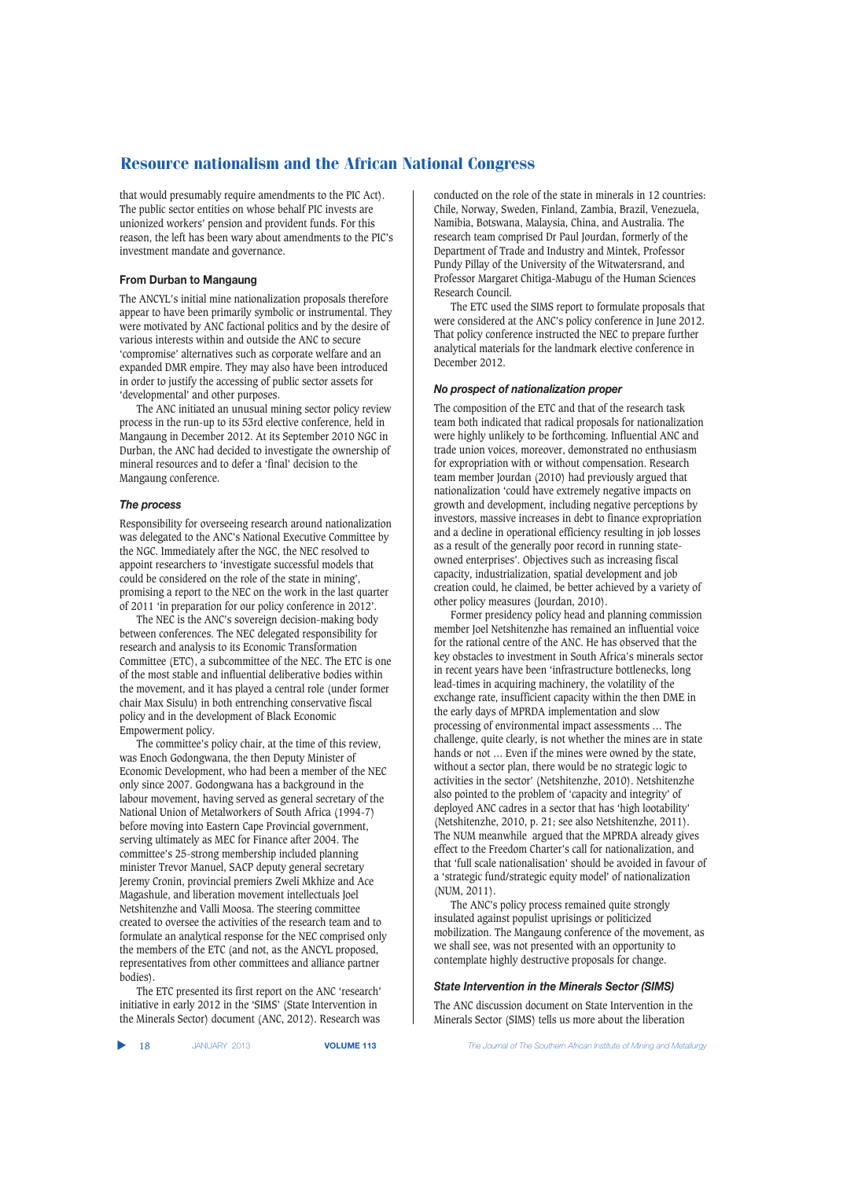that would presumably require amendments to the PIC Act). The public sector entities on whose behalf PIC invests are unionized workers' pension and provident funds. For this reason, the left has been wary about amendments to the PIC's investment mandate and governance.

## **From Durban to Mangaung**

The ANCYL's initial mine nationalization proposals therefore appear to have been primarily symbolic or instrumental. They were motivated by ANC factional politics and by the desire of various interests within and outside the ANC to secure 'compromise' alternatives such as corporate welfare and an expanded DMR empire. They may also have been introduced in order to justify the accessing of public sector assets for 'developmental' and other purposes.

The ANC initiated an unusual mining sector policy review process in the run-up to its 53rd elective conference, held in Mangaung in December 2012. At its September 2010 NGC in Durban, the ANC had decided to investigate the ownership of mineral resources and to defer a 'final' decision to the Mangaung conference.

#### *The process*

Responsibility for overseeing research around nationalization was delegated to the ANC's National Executive Committee by the NGC. Immediately after the NGC, the NEC resolved to appoint researchers to 'investigate successful models that could be considered on the role of the state in mining', promising a report to the NEC on the work in the last quarter of 2011 'in preparation for our policy conference in 2012'.

The NEC is the ANC's sovereign decision-making body between conferences. The NEC delegated responsibility for research and analysis to its Economic Transformation Committee (ETC), a subcommittee of the NEC. The ETC is one of the most stable and influential deliberative bodies within the movement, and it has played a central role (under former chair Max Sisulu) in both entrenching conservative fiscal policy and in the development of Black Economic Empowerment policy.

The committee's policy chair, at the time of this review, was Enoch Godongwana, the then Deputy Minister of Economic Development, who had been a member of the NEC only since 2007. Godongwana has a background in the labour movement, having served as general secretary of the National Union of Metalworkers of South Africa (1994-7) before moving into Eastern Cape Provincial government, serving ultimately as MEC for Finance after 2004. The committee's 25-strong membership included planning minister Trevor Manuel, SACP deputy general secretary Jeremy Cronin, provincial premiers Zweli Mkhize and Ace Magashule, and liberation movement intellectuals Joel Netshitenzhe and Valli Moosa. The steering committee created to oversee the activities of the research team and to formulate an analytical response for the NEC comprised only the members of the ETC (and not, as the ANCYL proposed, representatives from other committees and alliance partner bodies).

The ETC presented its first report on the ANC 'research' initiative in early 2012 in the 'SIMS' (State Intervention in the Minerals Sector) document (ANC, 2012). Research was conducted on the role of the state in minerals in 12 countries: Chile, Norway, Sweden, Finland, Zambia, Brazil, Venezuela, Namibia, Botswana, Malaysia, China, and Australia. The research team comprised Dr Paul Jourdan, formerly of the Department of Trade and Industry and Mintek, Professor Pundy Pillay of the University of the Witwatersrand, and Professor Margaret Chitiga-Mabugu of the Human Sciences Research Council.

The ETC used the SIMS report to formulate proposals that were considered at the ANC's policy conference in June 2012. That policy conference instructed the NEC to prepare further analytical materials for the landmark elective conference in December 2012.

## *No prospect of nationalization proper*

The composition of the ETC and that of the research task team both indicated that radical proposals for nationalization were highly unlikely to be forthcoming. Influential ANC and trade union voices, moreover, demonstrated no enthusiasm for expropriation with or without compensation. Research team member Jourdan (2010) had previously argued that nationalization 'could have extremely negative impacts on growth and development, including negative perceptions by investors, massive increases in debt to finance expropriation and a decline in operational efficiency resulting in job losses as a result of the generally poor record in running stateowned enterprises'. Objectives such as increasing fiscal capacity, industrialization, spatial development and job creation could, he claimed, be better achieved by a variety of other policy measures (Jourdan, 2010).

Former presidency policy head and planning commission member Joel Netshitenzhe has remained an influential voice for the rational centre of the ANC. He has observed that the key obstacles to investment in South Africa's minerals sector in recent years have been 'infrastructure bottlenecks, long lead-times in acquiring machinery, the volatility of the exchange rate, insufficient capacity within the then DME in the early days of MPRDA implementation and slow processing of environmental impact assessments … The challenge, quite clearly, is not whether the mines are in state hands or not … Even if the mines were owned by the state, without a sector plan, there would be no strategic logic to activities in the sector' (Netshitenzhe, 2010). Netshitenzhe also pointed to the problem of 'capacity and integrity' of deployed ANC cadres in a sector that has 'high lootability' (Netshitenzhe, 2010, p. 21; see also Netshitenzhe, 2011). The NUM meanwhile argued that the MPRDA already gives effect to the Freedom Charter's call for nationalization, and that 'full scale nationalisation' should be avoided in favour of a 'strategic fund/strategic equity model' of nationalization (NUM, 2011).

The ANC's policy process remained quite strongly insulated against populist uprisings or politicized mobilization. The Mangaung conference of the movement, as we shall see, was not presented with an opportunity to contemplate highly destructive proposals for change.

#### *State Intervention in the Minerals Sector (SIMS)*

The ANC discussion document on State Intervention in the Minerals Sector (SIMS) tells us more about the liberation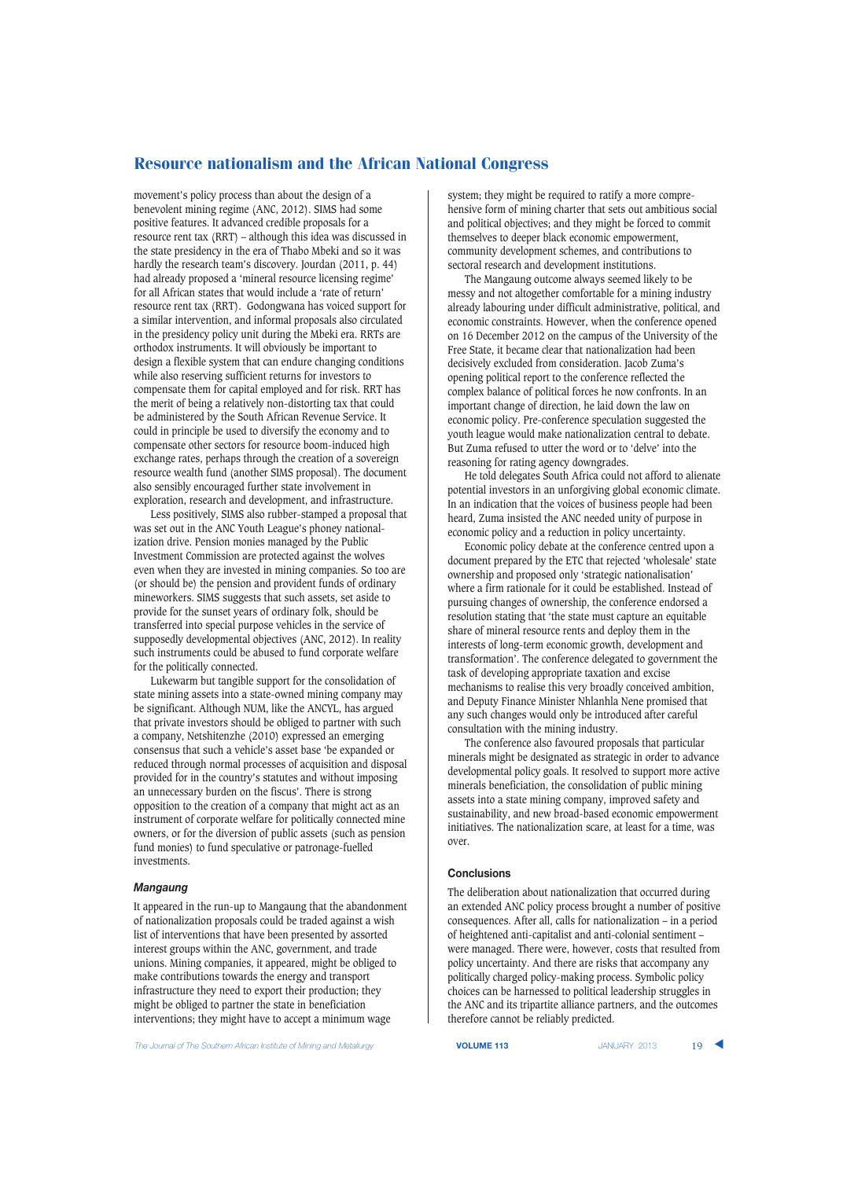movement's policy process than about the design of a benevolent mining regime (ANC, 2012). SIMS had some positive features. It advanced credible proposals for a resource rent tax (RRT) – although this idea was discussed in the state presidency in the era of Thabo Mbeki and so it was hardly the research team's discovery. Jourdan (2011, p. 44) had already proposed a 'mineral resource licensing regime' for all African states that would include a 'rate of return' resource rent tax (RRT). Godongwana has voiced support for a similar intervention, and informal proposals also circulated in the presidency policy unit during the Mbeki era. RRTs are orthodox instruments. It will obviously be important to design a flexible system that can endure changing conditions while also reserving sufficient returns for investors to compensate them for capital employed and for risk. RRT has the merit of being a relatively non-distorting tax that could be administered by the South African Revenue Service. It could in principle be used to diversify the economy and to compensate other sectors for resource boom-induced high exchange rates, perhaps through the creation of a sovereign resource wealth fund (another SIMS proposal). The document also sensibly encouraged further state involvement in exploration, research and development, and infrastructure.

Less positively, SIMS also rubber-stamped a proposal that was set out in the ANC Youth League's phoney nationalization drive. Pension monies managed by the Public Investment Commission are protected against the wolves even when they are invested in mining companies. So too are (or should be) the pension and provident funds of ordinary mineworkers. SIMS suggests that such assets, set aside to provide for the sunset years of ordinary folk, should be transferred into special purpose vehicles in the service of supposedly developmental objectives (ANC, 2012). In reality such instruments could be abused to fund corporate welfare for the politically connected.

Lukewarm but tangible support for the consolidation of state mining assets into a state-owned mining company may be significant. Although NUM, like the ANCYL, has argued that private investors should be obliged to partner with such a company, Netshitenzhe (2010) expressed an emerging consensus that such a vehicle's asset base 'be expanded or reduced through normal processes of acquisition and disposal provided for in the country's statutes and without imposing an unnecessary burden on the fiscus'. There is strong opposition to the creation of a company that might act as an instrument of corporate welfare for politically connected mine owners, or for the diversion of public assets (such as pension fund monies) to fund speculative or patronage-fuelled investments.

#### *Mangaung*

It appeared in the run-up to Mangaung that the abandonment of nationalization proposals could be traded against a wish list of interventions that have been presented by assorted interest groups within the ANC, government, and trade unions. Mining companies, it appeared, might be obliged to make contributions towards the energy and transport infrastructure they need to export their production; they might be obliged to partner the state in beneficiation interventions; they might have to accept a minimum wage

**The Journal of The Southern African Institute of Mining and Metallurgy <b>VOLUME 113 VOLUME 113** JANUARY 2013 19

system; they might be required to ratify a more comprehensive form of mining charter that sets out ambitious social and political objectives; and they might be forced to commit themselves to deeper black economic empowerment, community development schemes, and contributions to sectoral research and development institutions.

The Mangaung outcome always seemed likely to be messy and not altogether comfortable for a mining industry already labouring under difficult administrative, political, and economic constraints. However, when the conference opened on 16 December 2012 on the campus of the University of the Free State, it became clear that nationalization had been decisively excluded from consideration. Jacob Zuma's opening political report to the conference reflected the complex balance of political forces he now confronts. In an important change of direction, he laid down the law on economic policy. Pre-conference speculation suggested the youth league would make nationalization central to debate. But Zuma refused to utter the word or to 'delve' into the reasoning for rating agency downgrades.

He told delegates South Africa could not afford to alienate potential investors in an unforgiving global economic climate. In an indication that the voices of business people had been heard, Zuma insisted the ANC needed unity of purpose in economic policy and a reduction in policy uncertainty.

Economic policy debate at the conference centred upon a document prepared by the ETC that rejected 'wholesale' state ownership and proposed only 'strategic nationalisation' where a firm rationale for it could be established. Instead of pursuing changes of ownership, the conference endorsed a resolution stating that 'the state must capture an equitable share of mineral resource rents and deploy them in the interests of long-term economic growth, development and transformation'. The conference delegated to government the task of developing appropriate taxation and excise mechanisms to realise this very broadly conceived ambition, and Deputy Finance Minister Nhlanhla Nene promised that any such changes would only be introduced after careful consultation with the mining industry.

The conference also favoured proposals that particular minerals might be designated as strategic in order to advance developmental policy goals. It resolved to support more active minerals beneficiation, the consolidation of public mining assets into a state mining company, improved safety and sustainability, and new broad-based economic empowerment initiatives. The nationalization scare, at least for a time, was over.

# **Conclusions**

The deliberation about nationalization that occurred during an extended ANC policy process brought a number of positive consequences. After all, calls for nationalization – in a period of heightened anti-capitalist and anti-colonial sentiment – were managed. There were, however, costs that resulted from policy uncertainty. And there are risks that accompany any politically charged policy-making process. Symbolic policy choices can be harnessed to political leadership struggles in the ANC and its tripartite alliance partners, and the outcomes therefore cannot be reliably predicted.